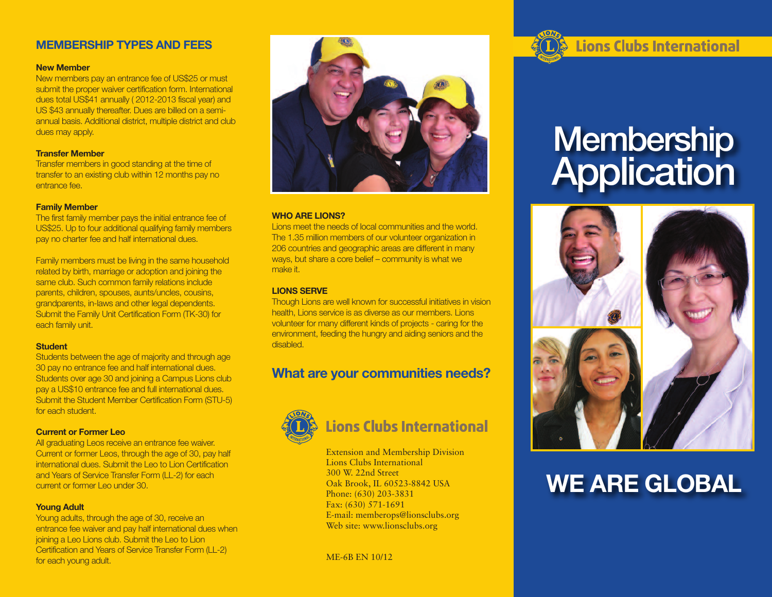#### **MEMBERSHIP TYPES AND FEES**

#### **New Member**

New members pay an entrance fee of US\$25 or must submit the proper waiver certification form. International dues total US\$41 annually ( 2012-2013 fiscal year) and US \$43 annually thereafter. Dues are billed on a semiannual basis. Additional district, multiple district and club dues may apply.

#### **Transfer Member**

Transfer members in good standing at the time of transfer to an existing club within 12 months pay no entrance fee.

#### **Family Member**

The first family member pays the initial entrance fee of US\$25. Up to four additional qualifying family members pay no charter fee and half international dues.

Family members must be living in the same household related by birth, marriage or adoption and joining the same club. Such common family relations include parents, children, spouses, aunts/uncles, cousins, grandparents, in-laws and other legal dependents. Submit the Family Unit Certification Form (TK-30) for each family unit.

#### **Student**

Students between the age of majority and through age 30 pay no entrance fee and half international dues. Students over age 30 and joining a Campus Lions club pay a US\$10 entrance fee and full international dues. Submit the Student Member Certification Form (STU-5) for each student.

#### **Current or Former Leo**

All graduating Leos receive an entrance fee waiver. Current or former Leos, through the age of 30, pay half international dues. Submit the Leo to Lion Certification and Years of Service Transfer Form (LL-2) for each current or former Leo under 30.

#### **Young Adult**

Young adults, through the age of 30, receive an entrance fee waiver and pay half international dues when joining a Leo Lions club. Submit the Leo to Lion Certification and Years of Service Transfer Form (LL-2) for each young adult.



#### **WHO ARE LIONS?**

Lions meet the needs of local communities and the world. The 1.35 million members of our volunteer organization in 206 countries and geographic areas are different in many ways, but share a core belief – community is what we make it.

#### **LIONS SERVE**

Though Lions are well known for successful initiatives in vision health, Lions service is as diverse as our members. Lions volunteer for many different kinds of projects - caring for the environment, feeding the hungry and aiding seniors and the disabled.

### **What are your communities needs?**



## **Lions Clubs International**

Extension and Membership Division Lions Clubs International 300 W. 22nd Street Oak Brook, IL 60523-8842 USA Phone: (630) 203-3831 Fax: (630) 571-1691 E-mail: memberops@lionsclubs.org Web site: www.lionsclubs.org

ME-6B EN 10/12

## **Lions Clubs International**

# **Membership Application**



## **WE ARE GLOBAL**